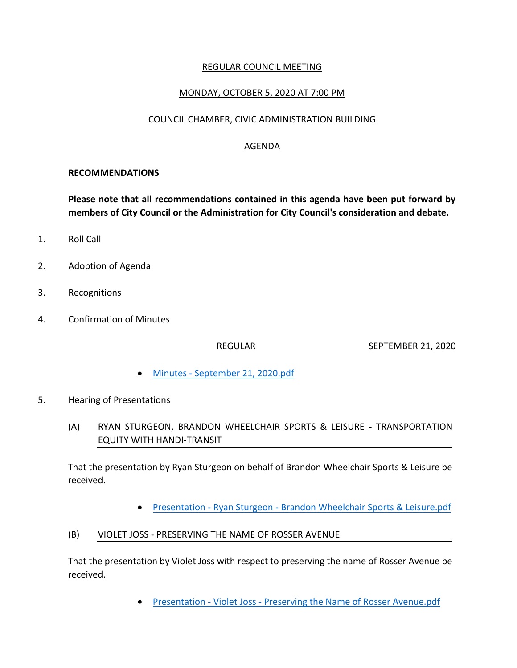## REGULAR COUNCIL MEETING

## MONDAY, OCTOBER 5, 2020 AT 7:00 PM

### COUNCIL CHAMBER, CIVIC ADMINISTRATION BUILDING

## AGENDA

#### **RECOMMENDATIONS**

**Please note that all recommendations contained in this agenda have been put forward by members of City Council or the Administration for City Council's consideration and debate.**

- 1. Roll Call
- 2. Adoption of Agenda
- 3. Recognitions
- 4. Confirmation of Minutes

REGULAR SEPTEMBER 21, 2020

- Minutes [September 21, 2020.pdf](https://paperlesscouncil.brandon.ca/attachments/A_2020/COM_AGKRYXQWAMXRDSJHHOHAJOCJCBDBEBLTKRPRIRMYLZHRDCNUUTX_Minutes%20-%20September%2021,%202020.pdf)
- 5. Hearing of Presentations
	- (A) RYAN STURGEON, BRANDON WHEELCHAIR SPORTS & LEISURE TRANSPORTATION EQUITY WITH HANDI-TRANSIT

That the presentation by Ryan Sturgeon on behalf of Brandon Wheelchair Sports & Leisure be received.

- Presentation Ryan Sturgeon [Brandon Wheelchair Sports & Leisure.pdf](https://paperlesscouncil.brandon.ca/attachments/A_2020/HOP_IVXILIORYOSTUFBUCSSDDSGQNDUPANOOWURBAYSJGBEQSSXFTHF_Presentation%20-%20Ryan%20Sturgeon%20-%20Brandon%20Wheelchair%20Sports%20&%20Leisure.pdf)
- (B) VIOLET JOSS PRESERVING THE NAME OF ROSSER AVENUE

That the presentation by Violet Joss with respect to preserving the name of Rosser Avenue be received.

• Presentation - Violet Joss - [Preserving the Name of Rosser Avenue.pdf](https://paperlesscouncil.brandon.ca/attachments/A_2020/HOP_BIUMMUWGKSNPXBEDAWJGNMPPEXVTULHISFSMWHELCHTVRHPYIHM_Presentation%20-%20Violet%20Joss%20-%20Preserving%20the%20Name%20of%20Rosser%20Avenue.pdf)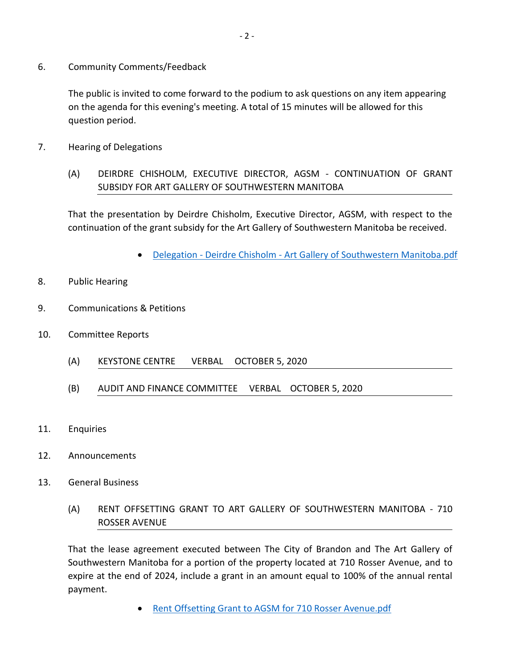6. Community Comments/Feedback

The public is invited to come forward to the podium to ask questions on any item appearing on the agenda for this evening's meeting. A total of 15 minutes will be allowed for this question period.

- 7. Hearing of Delegations
	- (A) DEIRDRE CHISHOLM, EXECUTIVE DIRECTOR, AGSM CONTINUATION OF GRANT SUBSIDY FOR ART GALLERY OF SOUTHWESTERN MANITOBA

That the presentation by Deirdre Chisholm, Executive Director, AGSM, with respect to the continuation of the grant subsidy for the Art Gallery of Southwestern Manitoba be received.

- Delegation Deirdre Chisholm [Art Gallery of Southwestern Manitoba.pdf](https://paperlesscouncil.brandon.ca/attachments/A_2020/HOD_RNPZMCQTUHERGRRAYPILHECRQXSJYNJELOPMAOTAQSCWILBBWFS_Delegation%20-%20Deirdre%20Chisholm%20-%20Art%20Gallery%20of%20Southwestern%20Manitoba.pdf)
- 8. Public Hearing
- 9. Communications & Petitions
- 10. Committee Reports
	- (A) KEYSTONE CENTRE VERBAL OCTOBER 5, 2020
	- (B) AUDIT AND FINANCE COMMITTEE VERBAL OCTOBER 5, 2020
- 11. Enquiries
- 12. Announcements
- 13. General Business
	- (A) RENT OFFSETTING GRANT TO ART GALLERY OF SOUTHWESTERN MANITOBA 710 ROSSER AVENUE

That the lease agreement executed between The City of Brandon and The Art Gallery of Southwestern Manitoba for a portion of the property located at 710 Rosser Avenue, and to expire at the end of 2024, include a grant in an amount equal to 100% of the annual rental payment.

[Rent Offsetting Grant to AGSM for 710 Rosser Avenue.pdf](https://paperlesscouncil.brandon.ca/attachments/A_2020/GEN_PSJPKLKYGXAAHIVNHTVGADUHXHLPNAINCIPPJKLRQDFFTMMGNGG_Rent%20Offsetting%20Grant%20to%20AGSM%20for%20710%20Rosser%20Avenue.pdf)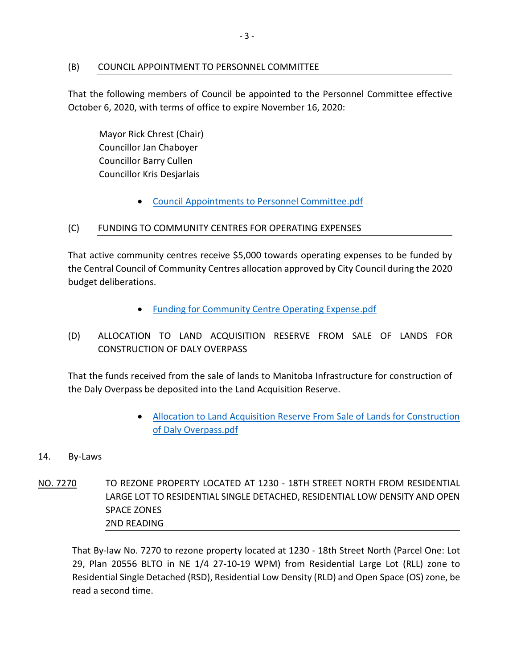## (B) COUNCIL APPOINTMENT TO PERSONNEL COMMITTEE

That the following members of Council be appointed to the Personnel Committee effective October 6, 2020, with terms of office to expire November 16, 2020:

Mayor Rick Chrest (Chair) Councillor Jan Chaboyer Councillor Barry Cullen Councillor Kris Desjarlais

[Council Appointments to Personnel Committee.pdf](https://paperlesscouncil.brandon.ca/attachments/A_2020/GEN_JNJYDVGGPGPUGSZTODWNVYBZFSLZBVXCMISBBXKEYJWFMRJTOJR_Council%20Appointments%20to%20Personnel%20Committee.pdf)

## (C) FUNDING TO COMMUNITY CENTRES FOR OPERATING EXPENSES

That active community centres receive \$5,000 towards operating expenses to be funded by the Central Council of Community Centres allocation approved by City Council during the 2020 budget deliberations.

- [Funding for Community Centre Operating Expense.pdf](https://paperlesscouncil.brandon.ca/attachments/A_2020/GEN_LHWDSDPANDZYJRIXALEXJVYSDSDNMQHBKJMHLVWUOCZKFYAIWDL_Funding%20for%20Community%20Centre%20Operating%20Expense.pdf)
- (D) ALLOCATION TO LAND ACQUISITION RESERVE FROM SALE OF LANDS FOR CONSTRUCTION OF DALY OVERPASS

That the funds received from the sale of lands to Manitoba Infrastructure for construction of the Daly Overpass be deposited into the Land Acquisition Reserve.

- [Allocation to Land Acquisition Reserve From Sale of Lands for Construction](https://paperlesscouncil.brandon.ca/attachments/A_2020/GEN_RZQYZVXBYODBUMYBQIXFFPVMNSAITTOCRNIMLTBZXRUQIQNZISZ_Allocation%20to%20Land%20Acquisition%20Reserve%20From%20Sale%20of%20Lands%20for%20Construction%20of%20Daly%20Overpass.pdf)  [of Daly Overpass.pdf](https://paperlesscouncil.brandon.ca/attachments/A_2020/GEN_RZQYZVXBYODBUMYBQIXFFPVMNSAITTOCRNIMLTBZXRUQIQNZISZ_Allocation%20to%20Land%20Acquisition%20Reserve%20From%20Sale%20of%20Lands%20for%20Construction%20of%20Daly%20Overpass.pdf)
- 14. By-Laws
- NO. 7270 TO REZONE PROPERTY LOCATED AT 1230 18TH STREET NORTH FROM RESIDENTIAL LARGE LOT TO RESIDENTIAL SINGLE DETACHED, RESIDENTIAL LOW DENSITY AND OPEN SPACE ZONES 2ND READING

That By-law No. 7270 to rezone property located at 1230 - 18th Street North (Parcel One: Lot 29, Plan 20556 BLTO in NE 1/4 27-10-19 WPM) from Residential Large Lot (RLL) zone to Residential Single Detached (RSD), Residential Low Density (RLD) and Open Space (OS) zone, be read a second time.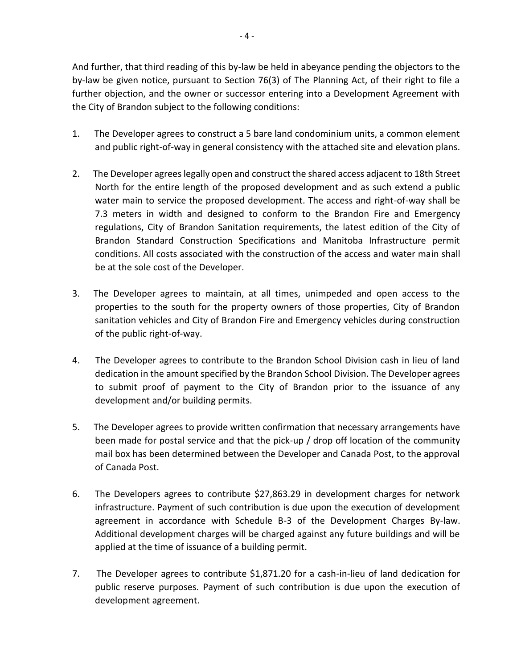And further, that third reading of this by-law be held in abeyance pending the objectors to the by-law be given notice, pursuant to Section 76(3) of The Planning Act, of their right to file a further objection, and the owner or successor entering into a Development Agreement with the City of Brandon subject to the following conditions:

- 1. The Developer agrees to construct a 5 bare land condominium units, a common element and public right-of-way in general consistency with the attached site and elevation plans.
- 2. The Developer agrees legally open and construct the shared access adjacent to 18th Street North for the entire length of the proposed development and as such extend a public water main to service the proposed development. The access and right-of-way shall be 7.3 meters in width and designed to conform to the Brandon Fire and Emergency regulations, City of Brandon Sanitation requirements, the latest edition of the City of Brandon Standard Construction Specifications and Manitoba Infrastructure permit conditions. All costs associated with the construction of the access and water main shall be at the sole cost of the Developer.
- 3. The Developer agrees to maintain, at all times, unimpeded and open access to the properties to the south for the property owners of those properties, City of Brandon sanitation vehicles and City of Brandon Fire and Emergency vehicles during construction of the public right-of-way.
- 4. The Developer agrees to contribute to the Brandon School Division cash in lieu of land dedication in the amount specified by the Brandon School Division. The Developer agrees to submit proof of payment to the City of Brandon prior to the issuance of any development and/or building permits.
- 5. The Developer agrees to provide written confirmation that necessary arrangements have been made for postal service and that the pick-up / drop off location of the community mail box has been determined between the Developer and Canada Post, to the approval of Canada Post.
- 6. The Developers agrees to contribute \$27,863.29 in development charges for network infrastructure. Payment of such contribution is due upon the execution of development agreement in accordance with Schedule B-3 of the Development Charges By-law. Additional development charges will be charged against any future buildings and will be applied at the time of issuance of a building permit.
- 7. The Developer agrees to contribute \$1,871.20 for a cash-in-lieu of land dedication for public reserve purposes. Payment of such contribution is due upon the execution of development agreement.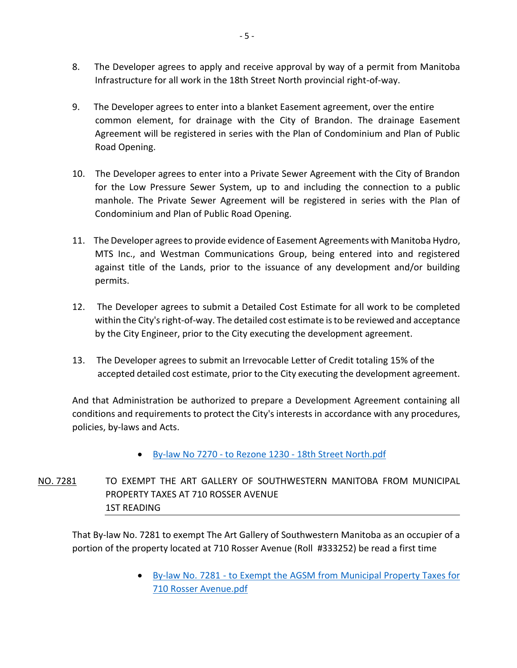- 8. The Developer agrees to apply and receive approval by way of a permit from Manitoba Infrastructure for all work in the 18th Street North provincial right-of-way.
- 9. The Developer agrees to enter into a blanket Easement agreement, over the entire common element, for drainage with the City of Brandon. The drainage Easement Agreement will be registered in series with the Plan of Condominium and Plan of Public Road Opening.
- 10. The Developer agrees to enter into a Private Sewer Agreement with the City of Brandon for the Low Pressure Sewer System, up to and including the connection to a public manhole. The Private Sewer Agreement will be registered in series with the Plan of Condominium and Plan of Public Road Opening.
- 11. The Developer agrees to provide evidence of Easement Agreements with Manitoba Hydro, MTS Inc., and Westman Communications Group, being entered into and registered against title of the Lands, prior to the issuance of any development and/or building permits.
- 12. The Developer agrees to submit a Detailed Cost Estimate for all work to be completed within the City's right-of-way. The detailed cost estimate is to be reviewed and acceptance by the City Engineer, prior to the City executing the development agreement.
- 13. The Developer agrees to submit an Irrevocable Letter of Credit totaling 15% of the accepted detailed cost estimate, prior to the City executing the development agreement.

And that Administration be authorized to prepare a Development Agreement containing all conditions and requirements to protect the City's interests in accordance with any procedures, policies, by-laws and Acts.

By-law No 7270 - to Rezone 1230 - [18th Street North.pdf](https://paperlesscouncil.brandon.ca/attachments/A_2020/BYL_XXQITGHPVJSBSOMFOJICRUIKHHHGOSHJCHUMWTIRYAWXRJNBQOA_By-law%20No%207270%20-%20to%20Rezone%201230%20-%2018th%20Street%20North.pdf)

NO. 7281 TO EXEMPT THE ART GALLERY OF SOUTHWESTERN MANITOBA FROM MUNICIPAL PROPERTY TAXES AT 710 ROSSER AVENUE 1ST READING

That By-law No. 7281 to exempt The Art Gallery of Southwestern Manitoba as an occupier of a portion of the property located at 710 Rosser Avenue (Roll #333252) be read a first time

> By-law No. 7281 - to Exempt the AGSM from [Municipal Property Taxes for](https://paperlesscouncil.brandon.ca/attachments/A_2020/BYL_ORTCEBTSEEASWPYHSYOLEZQEQXGNUPJAZVTEFDMXWSLSETZDZVV_By-law%20No.%207281%20-%20to%20Exempt%20the%20AGSM%20from%20Municipal%20Property%20Taxes%20for%20710%20Rosser%20Avenue.pdf)  [710 Rosser Avenue.pdf](https://paperlesscouncil.brandon.ca/attachments/A_2020/BYL_ORTCEBTSEEASWPYHSYOLEZQEQXGNUPJAZVTEFDMXWSLSETZDZVV_By-law%20No.%207281%20-%20to%20Exempt%20the%20AGSM%20from%20Municipal%20Property%20Taxes%20for%20710%20Rosser%20Avenue.pdf)